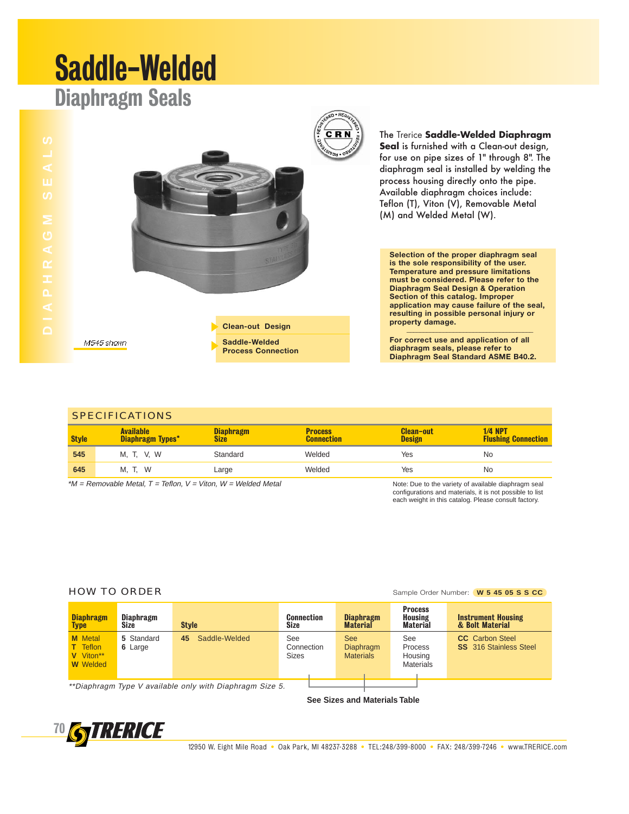# Saddle-Welded

### Diaphragm Seals



The Trerice **Saddle-Welded Diaphragm Seal** is furnished with a Clean-out design, for use on pipe sizes of 1" through 8". The diaphragm seal is installed by welding the process housing directly onto the pipe. Available diaphragm choices include: Teflon (T), Viton (V), Removable Metal (M) and Welded Metal (W).

**Selection of the proper diaphragm seal is the sole responsibility of the user. Temperature and pressure limitations must be considered. Please refer to the Diaphragm Seal Design & Operation Section of this catalog. Improper application may cause failure of the seal, resulting in possible personal injury or**  property damage.

**For correct use and application of all diaphragm seals, please refer to Diaphragm Seal Standard ASME B40.2.**

| <b>SPECIFICATIONS</b> |                                                                     |                          |                                     |                                   |                                                      |  |  |
|-----------------------|---------------------------------------------------------------------|--------------------------|-------------------------------------|-----------------------------------|------------------------------------------------------|--|--|
| <b>Style</b>          | <b>Available</b><br>Diaphragm Types*                                | <b>Diaphragm</b><br>Size | <b>Process</b><br><b>Connection</b> | <b>Clean-out</b><br><b>Design</b> | <b>1/4 NPT</b><br><b>Flushing Connection</b>         |  |  |
| 545                   | M, T, V, W                                                          | Standard                 | Welded                              | Yes                               | No                                                   |  |  |
| 645                   | M. T. W                                                             | Large                    | Welded                              | Yes                               | No                                                   |  |  |
|                       | *M = Removable Metal, $T$ = Teflon, $V$ = Viton, $W$ = Welded Metal |                          |                                     |                                   | Note: Due to the variety of available diaphragm seal |  |  |

**Clean-out Design Saddle-Welded Process Connection**

> Note: Due to the variety of available diaphragm seal configurations and materials, it is not possible to list each weight in this catalog. Please consult factory.

M545 shown

| <b>Diaphragm</b><br><b>Type</b>                                                                                              | <b>Diaphragm</b><br>Size | <b>Style</b>        | Connection<br>Size                | <b>Diaphragm</b><br><b>Material</b>                | <b>Process</b><br><b>Housing</b><br><b>Material</b> | <b>Instrument Housing</b><br>& Bolt Material            |
|------------------------------------------------------------------------------------------------------------------------------|--------------------------|---------------------|-----------------------------------|----------------------------------------------------|-----------------------------------------------------|---------------------------------------------------------|
| <b>M</b> Metal<br><b>T</b> Teflon<br>V Viton**<br><b>W</b> Welded                                                            | 5 Standard<br>6 Large    | Saddle-Welded<br>45 | See<br>Connection<br><b>Sizes</b> | <b>See</b><br><b>Diaphragm</b><br><b>Materials</b> | See<br>Process<br>Housing<br><b>Materials</b>       | <b>CC</b> Carbon Steel<br><b>SS</b> 316 Stainless Steel |
| $\star \star \bullet$ to the set $\pi$ and $H$ set $H$ that $H$ is a set $H$ . At the $\bullet$ the set $\bullet$ that $\pi$ |                          |                     |                                   |                                                    |                                                     |                                                         |

\*\*Diaphragm Type V available only with Diaphragm Size 5.

**See Sizes and Materials Table**



### **HOW TO ORDER** Sample Order Number: **W 5 45 05 S S CC**